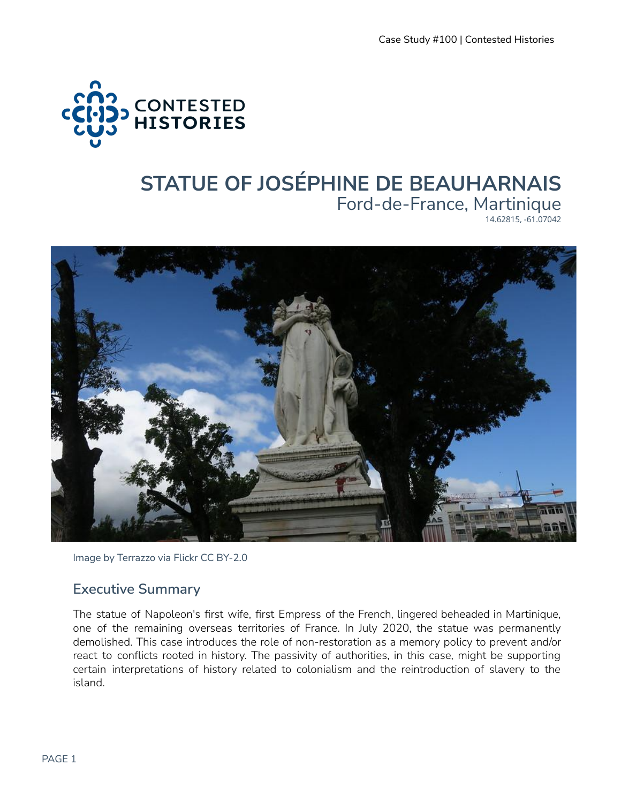

# **STATUE OF JOSÉPHINE DE BEAUHARNAIS** Ford-de-France, Martinique

14.62815, -61.07042



Image by Terrazzo via Flickr CC BY-2.0

#### **Executive Summary**

The statue of Napoleon's first wife, first Empress of the French, lingered beheaded in Martinique, one of the remaining overseas territories of France. In July 2020, the statue was permanently demolished. This case introduces the role of non-restoration as a memory policy to prevent and/or react to conflicts rooted in history. The passivity of authorities, in this case, might be supporting certain interpretations of history related to colonialism and the reintroduction of slavery to the island.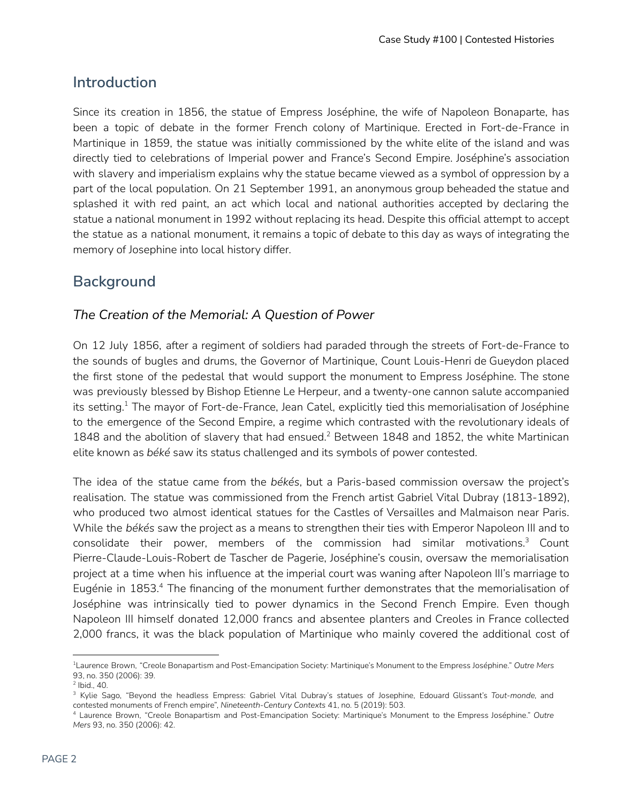# **Introduction**

Since its creation in 1856, the statue of Empress Joséphine, the wife of Napoleon Bonaparte, has been a topic of debate in the former French colony of Martinique. Erected in Fort-de-France in Martinique in 1859, the statue was initially commissioned by the white elite of the island and was directly tied to celebrations of Imperial power and France's Second Empire. Joséphine's association with slavery and imperialism explains why the statue became viewed as a symbol of oppression by a part of the local population. On 21 September 1991, an anonymous group beheaded the statue and splashed it with red paint, an act which local and national authorities accepted by declaring the statue a national monument in 1992 without replacing its head. Despite this official attempt to accept the statue as a national monument, it remains a topic of debate to this day as ways of integrating the memory of Josephine into local history differ.

# **Background**

#### *The Creation of the Memorial: A Question of Power*

On 12 July 1856, after a regiment of soldiers had paraded through the streets of Fort-de-France to the sounds of bugles and drums, the Governor of Martinique, Count Louis-Henri de Gueydon placed the first stone of the pedestal that would support the monument to Empress Joséphine. The stone was previously blessed by Bishop Etienne Le Herpeur, and a twenty-one cannon salute accompanied its setting. $^{\rm 1}$  The mayor of Fort-de-France, Jean Catel, explicitly tied this memorialisation of Joséphine to the emergence of the Second Empire, a regime which contrasted with the revolutionary ideals of 1848 and the abolition of slavery that had ensued.<sup>2</sup> Between 1848 and 1852, the white Martinican elite known as *béké* saw its status challenged and its symbols of power contested.

The idea of the statue came from the *békés*, but a Paris-based commission oversaw the project's realisation. The statue was commissioned from the French artist Gabriel Vital Dubray (1813-1892), who produced two almost identical statues for the Castles of Versailles and Malmaison near Paris. While the *békés* saw the project as a means to strengthen their ties with Emperor Napoleon III and to consolidate their power, members of the commission had similar motivations. $^3$  Count Pierre-Claude-Louis-Robert de Tascher de Pagerie, Joséphine's cousin, oversaw the memorialisation project at a time when his influence at the imperial court was waning after Napoleon III's marriage to Eugénie in 1853.<sup>4</sup> The financing of the monument further demonstrates that the memorialisation of Joséphine was intrinsically tied to power dynamics in the Second French Empire. Even though Napoleon III himself donated 12,000 francs and absentee planters and Creoles in France collected 2,000 francs, it was the black population of Martinique who mainly covered the additional cost of

<sup>1</sup>Laurence Brown, "Creole Bonapartism and Post-Emancipation Society: Martinique's Monument to the Empress Joséphine." *Outre Mers* 93, no. 350 (2006): 39.

<sup>2</sup> Ibid., 40.

<sup>3</sup> Kylie Sago, "Beyond the headless Empress: Gabriel Vital Dubray's statues of Josephine, Edouard Glissant's *Tout-monde,* and contested monuments of French empire", *Nineteenth-Century Contexts* 41, no. 5 (2019): 503.

<sup>4</sup> Laurence Brown, "Creole Bonapartism and Post-Emancipation Society: Martinique's Monument to the Empress Joséphine." *Outre Mers* 93, no. 350 (2006): 42.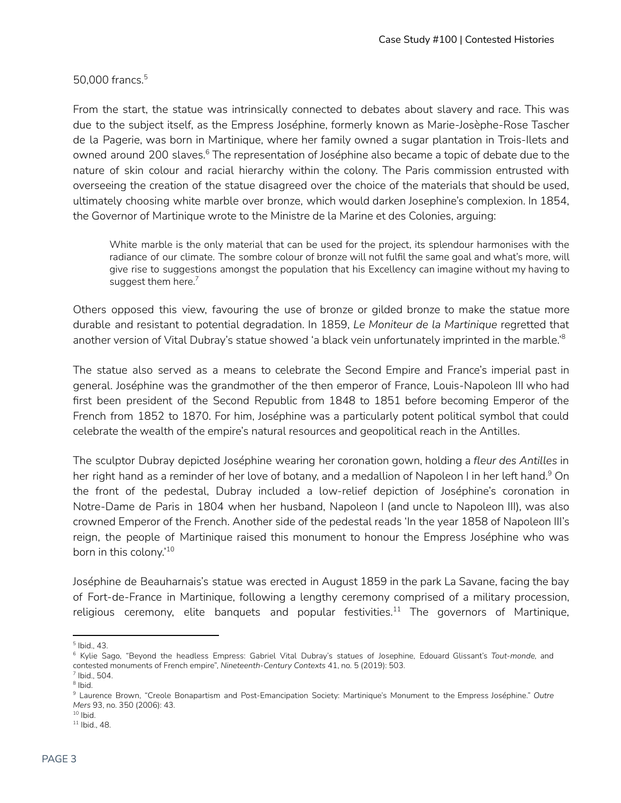50,000 francs. 5

From the start, the statue was intrinsically connected to debates about slavery and race. This was due to the subject itself, as the Empress Joséphine, formerly known as Marie-Josèphe-Rose Tascher de la Pagerie, was born in Martinique, where her family owned a sugar plantation in Trois-Ilets and owned around 200 slaves.<sup>6</sup> The representation of Joséphine also became a topic of debate due to the nature of skin colour and racial hierarchy within the colony. The Paris commission entrusted with overseeing the creation of the statue disagreed over the choice of the materials that should be used, ultimately choosing white marble over bronze, which would darken Josephine's complexion. In 1854, the Governor of Martinique wrote to the Ministre de la Marine et des Colonies, arguing:

White marble is the only material that can be used for the project, its splendour harmonises with the radiance of our climate. The sombre colour of bronze will not fulfil the same goal and what's more, will give rise to suggestions amongst the population that his Excellency can imagine without my having to suggest them here. $^7$ 

Others opposed this view, favouring the use of bronze or gilded bronze to make the statue more durable and resistant to potential degradation. In 1859, *Le Moniteur de la Martinique* regretted that another version of Vital Dubray's statue showed 'a black vein unfortunately imprinted in the marble.' 8

The statue also served as a means to celebrate the Second Empire and France's imperial past in general. Joséphine was the grandmother of the then emperor of France, Louis-Napoleon III who had first been president of the Second Republic from 1848 to 1851 before becoming Emperor of the French from 1852 to 1870. For him, Joséphine was a particularly potent political symbol that could celebrate the wealth of the empire's natural resources and geopolitical reach in the Antilles.

The sculptor Dubray depicted Joséphine wearing her coronation gown, holding a *fleur des Antilles* in her right hand as a reminder of her love of botany, and a medallion of Napoleon I in her left hand. $^9$  On the front of the pedestal, Dubray included a low-relief depiction of Joséphine's coronation in Notre-Dame de Paris in 1804 when her husband, Napoleon I (and uncle to Napoleon III), was also crowned Emperor of the French. Another side of the pedestal reads 'In the year 1858 of Napoleon III's reign, the people of Martinique raised this monument to honour the Empress Joséphine who was born in this colony.' 10

Joséphine de Beauharnais's statue was erected in August 1859 in the park La Savane, facing the bay of Fort-de-France in Martinique, following a lengthy ceremony comprised of a military procession, religious ceremony, elite banquets and popular festivities. $^{11}$  The governors of Martinique,

<sup>5</sup> Ibid., 43.

<sup>6</sup> Kylie Sago, "Beyond the headless Empress: Gabriel Vital Dubray's statues of Josephine, Edouard Glissant's *Tout-monde,* and contested monuments of French empire", *Nineteenth-Century Contexts* 41, no. 5 (2019): 503.

 $<sup>7</sup>$  Ibid., 504.</sup>

<sup>&</sup>lt;sup>8</sup> Ibid.

<sup>9</sup> Laurence Brown, "Creole Bonapartism and Post-Emancipation Society: Martinique's Monument to the Empress Joséphine." *Outre Mers* 93, no. 350 (2006): 43.

 $10$  lbid.

<sup>11</sup> Ibid., 48.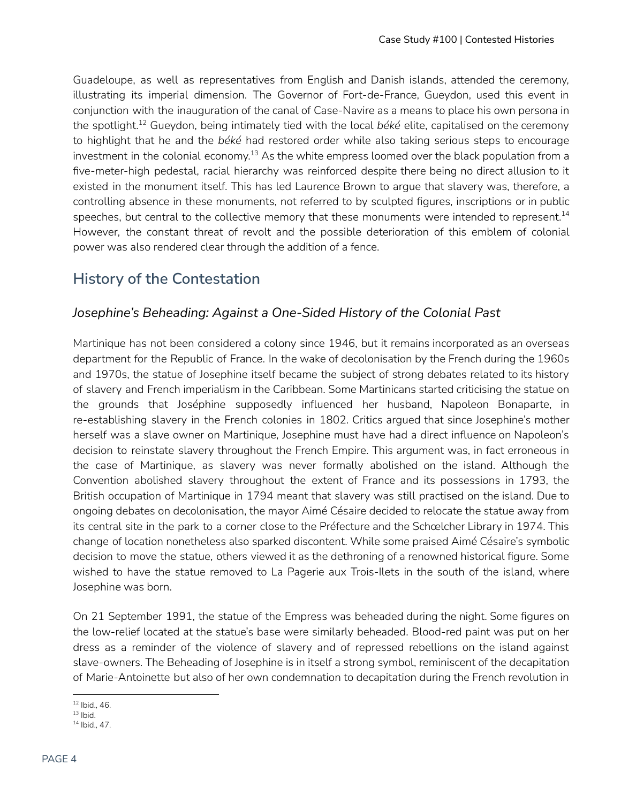Guadeloupe, as well as representatives from English and Danish islands, attended the ceremony, illustrating its imperial dimension. The Governor of Fort-de-France, Gueydon, used this event in conjunction with the inauguration of the canal of Case-Navire as a means to place his own persona in the spotlight.<sup>12</sup> Gueydon, being intimately tied with the local *béké* elite, capitalised on the ceremony to highlight that he and the *béké* had restored order while also taking serious steps to encourage investment in the colonial economy. $^{\rm 13}$  As the white empress loomed over the black population from a five-meter-high pedestal, racial hierarchy was reinforced despite there being no direct allusion to it existed in the monument itself. This has led Laurence Brown to argue that slavery was, therefore, a controlling absence in these monuments, not referred to by sculpted figures, inscriptions or in public speeches, but central to the collective memory that these monuments were intended to represent.<sup>14</sup> However, the constant threat of revolt and the possible deterioration of this emblem of colonial power was also rendered clear through the addition of a fence.

### **History of the Contestation**

#### *Josephine's Beheading: Against a One-Sided History of the Colonial Past*

Martinique has not been considered a colony since 1946, but it remains incorporated as an overseas department for the Republic of France. In the wake of decolonisation by the French during the 1960s and 1970s, the statue of Josephine itself became the subject of strong debates related to its history of slavery and French imperialism in the Caribbean. Some Martinicans started criticising the statue on the grounds that Joséphine supposedly influenced her husband, Napoleon Bonaparte, in re-establishing slavery in the French colonies in 1802. Critics argued that since Josephine's mother herself was a slave owner on Martinique, Josephine must have had a direct influence on Napoleon's decision to reinstate slavery throughout the French Empire. This argument was, in fact erroneous in the case of Martinique, as slavery was never formally abolished on the island. Although the Convention abolished slavery throughout the extent of France and its possessions in 1793, the British occupation of Martinique in 1794 meant that slavery was still practised on the island. Due to ongoing debates on decolonisation, the mayor Aimé Césaire decided to relocate the statue away from its central site in the park to a corner close to the Préfecture and the Schœlcher Library in 1974. This change of location nonetheless also sparked discontent. While some praised Aimé Césaire's symbolic decision to move the statue, others viewed it as the dethroning of a renowned historical figure. Some wished to have the statue removed to La Pagerie aux Trois-Ilets in the south of the island, where Josephine was born.

On 21 September 1991, the statue of the Empress was beheaded during the night. Some figures on the low-relief located at the statue's base were similarly beheaded. Blood-red paint was put on her dress as a reminder of the violence of slavery and of repressed rebellions on the island against slave-owners. The Beheading of Josephine is in itself a strong symbol, reminiscent of the decapitation of Marie-Antoinette but also of her own condemnation to decapitation during the French revolution in

<sup>12</sup> Ibid., 46.

 $13$  lbid.

<sup>14</sup> Ibid., 47.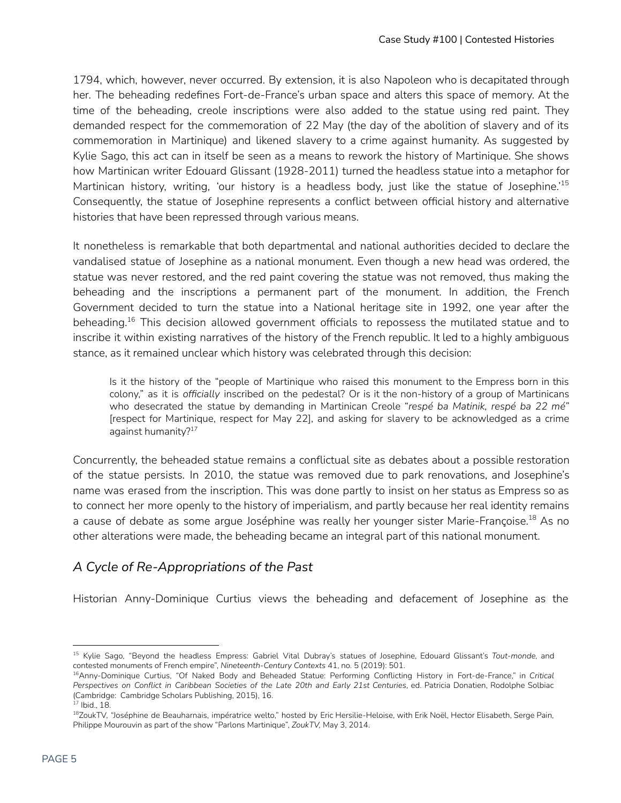1794, which, however, never occurred. By extension, it is also Napoleon who is decapitated through her. The beheading redefines Fort-de-France's urban space and alters this space of memory. At the time of the beheading, creole inscriptions were also added to the statue using red paint. They demanded respect for the commemoration of 22 May (the day of the abolition of slavery and of its commemoration in Martinique) and likened slavery to a crime against humanity. As suggested by Kylie Sago, this act can in itself be seen as a means to rework the history of Martinique. She shows how Martinican writer Edouard Glissant (1928-2011) turned the headless statue into a metaphor for Martinican history, writing, 'our history is a headless body, just like the statue of Josephine.' 15 Consequently, the statue of Josephine represents a conflict between official history and alternative histories that have been repressed through various means.

It nonetheless is remarkable that both departmental and national authorities decided to declare the vandalised statue of Josephine as a national monument. Even though a new head was ordered, the statue was never restored, and the red paint covering the statue was not removed, thus making the beheading and the inscriptions a permanent part of the monument. In addition, the French Government decided to turn the statue into a National heritage site in 1992, one year after the beheading. $^{16}$  This decision allowed government officials to repossess the mutilated statue and to inscribe it within existing narratives of the history of the French republic. It led to a highly ambiguous stance, as it remained unclear which history was celebrated through this decision:

Is it the history of the "people of Martinique who raised this monument to the Empress born in this colony," as it is *officially* inscribed on the pedestal? Or is it the non-history of a group of Martinicans who desecrated the statue by demanding in Martinican Creole "*respé ba Matinik, respé ba 22 mé"* [respect for Martinique, respect for May 22], and asking for slavery to be acknowledged as a crime against humanity? 17

Concurrently, the beheaded statue remains a conflictual site as debates about a possible restoration of the statue persists. In 2010, the statue was removed due to park renovations, and Josephine's name was erased from the inscription. This was done partly to insist on her status as Empress so as to connect her more openly to the history of imperialism, and partly because her real identity remains a cause of debate as some argue Joséphine was really her younger sister Marie-Françoise.<sup>18</sup> As no other alterations were made, the beheading became an integral part of this national monument.

### *A Cycle of Re-Appropriations of the Past*

Historian Anny-Dominique Curtius views the beheading and defacement of Josephine as the

<sup>15</sup> Kylie Sago, "Beyond the headless Empress: Gabriel Vital Dubray's statues of Josephine, Edouard Glissant's *Tout-monde,* and contested monuments of French empire", *Nineteenth-Century Contexts* 41, no. 5 (2019): 501.

<sup>16</sup>Anny-Dominique Curtius, "Of Naked Body and Beheaded Statue: Performing Conflicting History in Fort-de-France," in *Critical* Perspectives on Conflict in Caribbean Societies of the Late 20th and Early 21st Centuries, ed. Patricia Donatien, Rodolphe Solbiac (Cambridge: Cambridge Scholars Publishing, 2015), 16.

<sup>17</sup> Ibid., 18.

<sup>&</sup>lt;sup>18</sup>ZoukTV, "Joséphine de Beauharnais, impératrice welto," hosted by Eric Hersilie-Heloise, with Erik Noël, Hector Elisabeth, Serge Pain, Philippe Mourouvin as part of the show "Parlons Martinique", *ZoukTV,* May 3, 2014.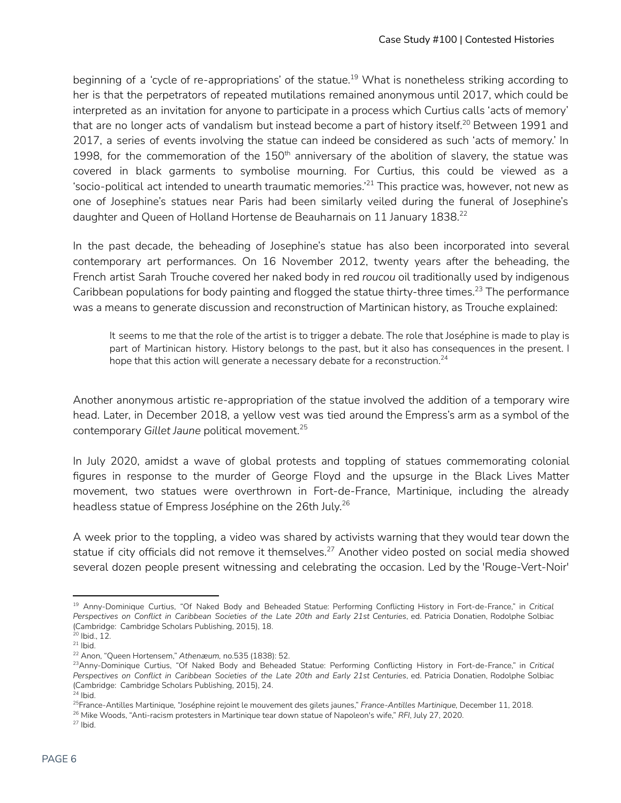beginning of a 'cycle of re-appropriations' of the statue.<sup>19</sup> What is nonetheless striking according to her is that the perpetrators of repeated mutilations remained anonymous until 2017, which could be interpreted as an invitation for anyone to participate in a process which Curtius calls 'acts of memory' that are no longer acts of vandalism but instead become a part of history itself. $^{20}$  Between 1991 and 2017, a series of events involving the statue can indeed be considered as such 'acts of memory.' In 1998, for the commemoration of the 150<sup>th</sup> anniversary of the abolition of slavery, the statue was covered in black garments to symbolise mourning. For Curtius, this could be viewed as a 'socio-political act intended to unearth traumatic memories.' $^{21}$  This practice was, however, not new as one of Josephine's statues near Paris had been similarly veiled during the funeral of Josephine's daughter and Queen of Holland Hortense de Beauharnais on 11 January 1838.<sup>22</sup>

In the past decade, the beheading of Josephine's statue has also been incorporated into several contemporary art performances. On 16 November 2012, twenty years after the beheading, the French artist Sarah Trouche covered her naked body in red *roucou* oil traditionally used by indigenous Caribbean populations for body painting and flogged the statue thirty-three times. $^{23}$  The performance was a means to generate discussion and reconstruction of Martinican history, as Trouche explained:

It seems to me that the role of the artist is to trigger a debate. The role that Joséphine is made to play is part of Martinican history. History belongs to the past, but it also has consequences in the present. I hope that this action will generate a necessary debate for a reconstruction. $^{24}$ 

Another anonymous artistic re-appropriation of the statue involved the addition of a temporary wire head. Later, in December 2018, a yellow vest was tied around the Empress's arm as a symbol of the contemporary *Gillet Jaune* political movement. 25

In July 2020, amidst a wave of global protests and toppling of statues commemorating colonial figures in response to the murder of George Floyd and the upsurge in the Black Lives Matter movement, two statues were overthrown in Fort-de-France, Martinique, including the already headless statue of Empress Joséphine on the 26th July. 26

A week prior to the toppling, a video was shared by activists warning that they would tear down the statue if city officials did not remove it themselves.<sup>27</sup> Another video posted on social media showed several dozen people present witnessing and celebrating the occasion. Led by the 'Rouge-Vert-Noir'

<sup>19</sup> Anny-Dominique Curtius, "Of Naked Body and Beheaded Statue: Performing Conflicting History in Fort-de-France," in *Critical* Perspectives on Conflict in Caribbean Societies of the Late 20th and Early 21st Centuries, ed. Patricia Donatien, Rodolphe Solbiac (Cambridge: Cambridge Scholars Publishing, 2015), 18.

 $21$  lbid. 20 Ibid., 12.

<sup>22</sup> Anon, "Queen Hortensem," *Athenæum,* no.535 (1838): 52.

<sup>23</sup>Anny-Dominique Curtius, "Of Naked Body and Beheaded Statue: Performing Conflicting History in Fort-de-France," in *Critical* Perspectives on Conflict in Caribbean Societies of the Late 20th and Early 21st Centuries, ed. Patricia Donatien, Rodolphe Solbiac (Cambridge: Cambridge Scholars Publishing, 2015), 24.

<sup>25</sup>France-Antilles Martinique*,* "Joséphine rejoint le mouvement des gilets jaunes," *France-Antilles Martinique,* December 11, 2018.  $24$  lbid.

<sup>26</sup> Mike Woods, "Anti-racism protesters in Martinique tear down statue of Napoleon's wife," *RFI*, July 27, 2020.

 $27$  lbid.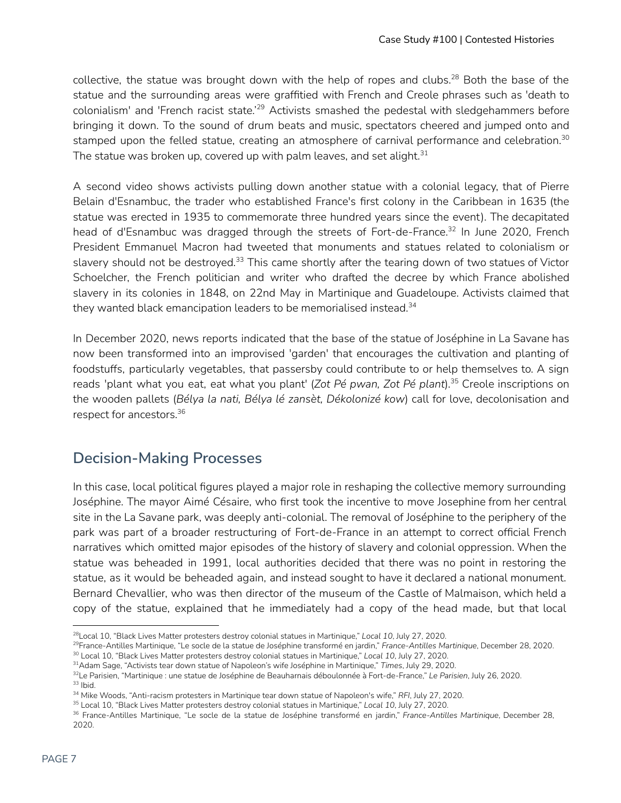collective, the statue was brought down with the help of ropes and clubs.<sup>28</sup> Both the base of the statue and the surrounding areas were graffitied with French and Creole phrases such as 'death to colonialism' and 'French racist state.'<sup>29</sup> Activists smashed the pedestal with sledgehammers before bringing it down. To the sound of drum beats and music, spectators cheered and jumped onto and stamped upon the felled statue, creating an atmosphere of carnival performance and celebration.<sup>30</sup> The statue was broken up, covered up with palm leaves, and set alight. $^{\rm 31}$ 

A second video shows activists pulling down another statue with a colonial legacy, that of Pierre Belain d'Esnambuc, the trader who established France's first colony in the Caribbean in 1635 (the statue was erected in 1935 to commemorate three hundred years since the event). The decapitated head of d'Esnambuc was dragged through the streets of Fort-de-France.<sup>32</sup> In June 2020, French President Emmanuel Macron had tweeted that monuments and statues related to colonialism or slavery should not be destroyed.<sup>33</sup> This came shortly after the tearing down of two statues of Victor Schoelcher, the French politician and writer who drafted the decree by which France abolished slavery in its colonies in 1848, on 22nd May in Martinique and Guadeloupe. Activists claimed that they wanted black emancipation leaders to be memorialised instead. 34

In December 2020, news reports indicated that the base of the statue of Joséphine in La Savane has now been transformed into an improvised 'garden' that encourages the cultivation and planting of foodstuffs, particularly vegetables, that passersby could contribute to or help themselves to. A sign reads 'plant what you eat, eat what you plant' (*Zot Pé pwan, Zot Pé plant*). Creole inscriptions on 35 the wooden pallets (*Bélya la nati, Bélya lé zansèt, Dékolonizé kow*) call for love, decolonisation and respect for ancestors. 36

### **Decision-Making Processes**

In this case, local political figures played a major role in reshaping the collective memory surrounding Joséphine. The mayor Aimé Césaire, who first took the incentive to move Josephine from her central site in the La Savane park, was deeply anti-colonial. The removal of Joséphine to the periphery of the park was part of a broader restructuring of Fort-de-France in an attempt to correct official French narratives which omitted major episodes of the history of slavery and colonial oppression. When the statue was beheaded in 1991, local authorities decided that there was no point in restoring the statue, as it would be beheaded again, and instead sought to have it declared a national monument. Bernard Chevallier, who was then director of the museum of the Castle of Malmaison, which held a copy of the statue, explained that he immediately had a copy of the head made, but that local

<sup>28</sup>Local 10, "Black Lives Matter protesters destroy colonial statues in Martinique," *Local 10*, July 27, 2020[.](https://www.local10.com/news/world/2020/07/27/protesters-destroy-colonial-statues-on-french-caribbean-isle/)

<sup>29</sup>France-Antilles Martinique, "Le socle de la statue de Joséphine transformé en jardin," *France-Antilles Martinique*, December 28, 2020.

<sup>30</sup> Local 10, "Black Lives Matter protesters destroy colonial statues in Martinique," *Local 10*, July 27, 2020[.](https://www.local10.com/news/world/2020/07/27/protesters-destroy-colonial-statues-on-french-caribbean-isle/)

<sup>31</sup>Adam Sage, "Activists tear down statue of Napoleon's wife Joséphine in Martinique," *Times*, July 29, 2020.

<sup>33</sup> Ibid. <sup>32</sup>Le Parisien, "Martinique : une statue de Joséphine de Beauharnais déboulonnée à Fort-de-France," *Le Parisien*, July 26, 2020.

<sup>34</sup> Mike Woods, "Anti-racism protesters in Martinique tear down statue of Napoleon's wife," *RFI*, July 27, 2020.

<sup>35</sup> Local 10, "Black Lives Matter protesters destroy colonial statues in Martinique," *Local 10*, July 27, 2020.

<sup>36</sup> France-Antilles Martinique, "Le socle de la statue de Joséphine transformé en jardin," *France-Antilles Martinique*, December 28, 2020.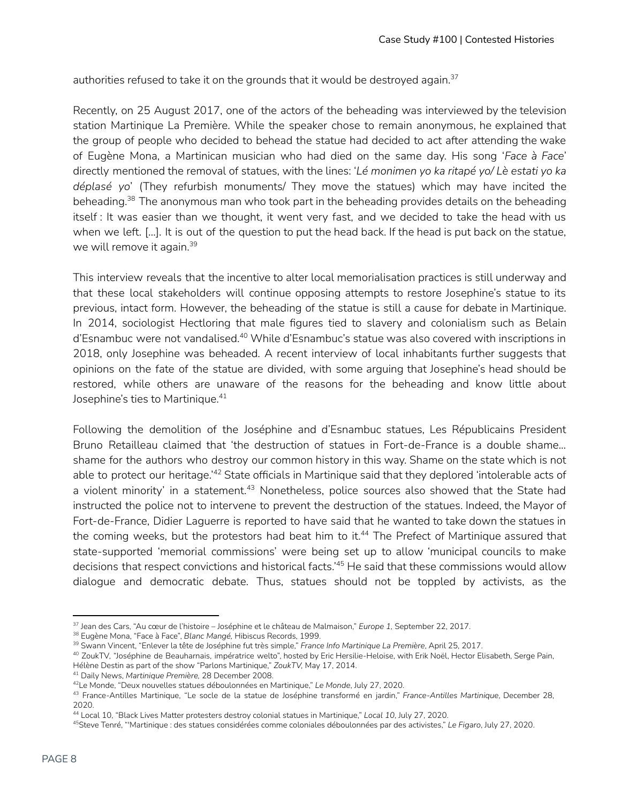authorities refused to take it on the grounds that it would be destroyed again. $^{37}$ 

Recently, on 25 August 2017, one of the actors of the beheading was interviewed by the television station Martinique La Première. While the speaker chose to remain anonymous, he explained that the group of people who decided to behead the statue had decided to act after attending the wake of Eugène Mona, a Martinican musician who had died on the same day. His song '*Face à Face*' directly mentioned the removal of statues, with the lines: '*Lé monimen yo ka ritapé yo/ Lè estati yo ka déplasé yo*' (They refurbish monuments/ They move the statues) which may have incited the beheading.<sup>38</sup> The anonymous man who took part in the beheading provides details on the beheading itself : It was easier than we thought, it went very fast, and we decided to take the head with us when we left. […]. It is out of the question to put the head back. If the head is put back on the statue, we will remove it again. 39

This interview reveals that the incentive to alter local memorialisation practices is still underway and that these local stakeholders will continue opposing attempts to restore Josephine's statue to its previous, intact form. However, the beheading of the statue is still a cause for debate in Martinique. In 2014, sociologist Hectloring that male figures tied to slavery and colonialism such as Belain d'Esnambuc were not vandalised.<sup>40</sup> While d'Esnambuc's statue was also covered with inscriptions in 2018, only Josephine was beheaded. A recent interview of local inhabitants further suggests that opinions on the fate of the statue are divided, with some arguing that Josephine's head should be restored, while others are unaware of the reasons for the beheading and know little about Josephine's ties to Martinique. 41

Following the demolition of the Joséphine and d'Esnambuc statues, Les Républicains President Bruno Retailleau claimed that 'the destruction of statues in Fort-de-France is a double shame... shame for the authors who destroy our common history in this way. Shame on the state which is not able to protect our heritage.'<sup>42</sup> State officials in Martinique said that they deplored 'intolerable acts of a violent minority' in a statement.<sup>43</sup> Nonetheless, police sources also showed that the State had instructed the police not to intervene to prevent the destruction of the statues. Indeed, the Mayor of Fort-de-France, Didier Laguerre is reported to have said that he wanted to take down the statues in the coming weeks, but the protestors had beat him to it.<sup>44</sup> The Prefect of Martinique assured that state-supported 'memorial commissions' were being set up to allow 'municipal councils to make decisions that respect convictions and historical facts.' <sup>45</sup> He said that these commissions would allow dialogue and democratic debate. Thus, statues should not be toppled by activists, as the

<sup>37</sup> Jean des Cars, "Au cœur de l'histoire – Joséphine et le château de Malmaison," *Europe 1,* September 22, 2017.

<sup>38</sup> Eugène Mona, "Face à Face", *Blanc Mangé,* Hibiscus Records, 1999.

<sup>39</sup> Swann Vincent, "Enlever la tête de Joséphine fut très simple," *France Info Martinique La Première*, April 25, 2017.

<sup>40</sup> ZoukTV, "Joséphine de Beauharnais, impératrice welto", hosted by Eric Hersilie-Heloise, with Erik Noël, Hector Elisabeth, Serge Pain, Hélène Destin as part of the show "Parlons Martinique," *ZoukTV,* May 17, 2014.

<sup>41</sup> Daily News, *Martinique Première,* 28 December 2008.

<sup>42</sup>Le Monde, "Deux nouvelles statues déboulonnées en Martinique," *Le Monde*, July 27, 2020.

<sup>43</sup> France-Antilles Martinique, "Le socle de la statue de Joséphine transformé en jardin," *France-Antilles Martinique*, December 28, 2020.

<sup>44</sup> Local 10, "Black Lives Matter protesters destroy colonial statues in Martinique," *Local 10*, July 27, 2020[.](https://www.local10.com/news/world/2020/07/27/protesters-destroy-colonial-statues-on-french-caribbean-isle/)

<sup>45</sup>Steve Tenré, "'Martinique : des statues considérées comme coloniales déboulonnées par des activistes," *Le Figaro*, July 27, 2020.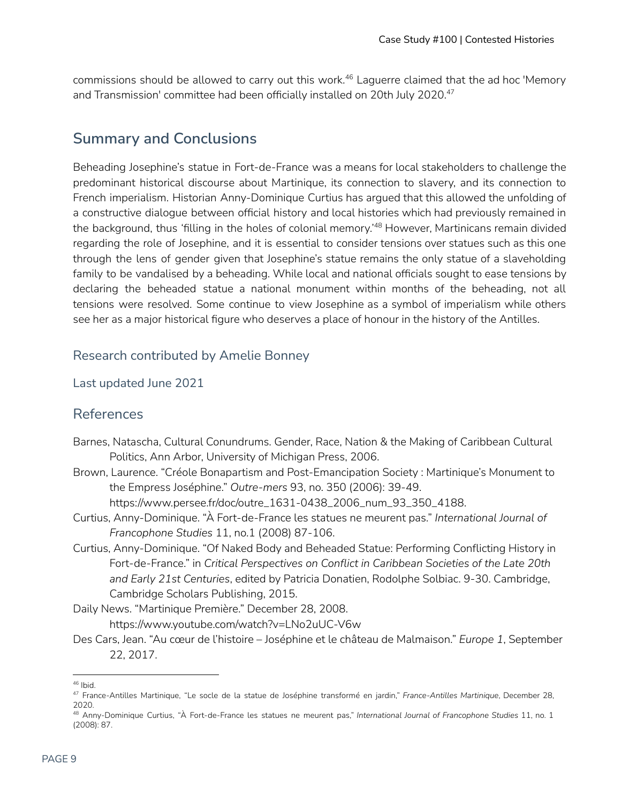commissions should be allowed to carry out this work.<sup>46</sup> Laguerre claimed that the ad hoc 'Memory and Transmission' committee had been officially installed on 20th July 2020. 47

### **Summary and Conclusions**

Beheading Josephine's statue in Fort-de-France was a means for local stakeholders to challenge the predominant historical discourse about Martinique, its connection to slavery, and its connection to French imperialism. Historian Anny-Dominique Curtius has argued that this allowed the unfolding of a constructive dialogue between official history and local histories which had previously remained in the background, thus 'filling in the holes of colonial memory.'<sup>48</sup> However, Martinicans remain divided regarding the role of Josephine, and it is essential to consider tensions over statues such as this one through the lens of gender given that Josephine's statue remains the only statue of a slaveholding family to be vandalised by a beheading. While local and national officials sought to ease tensions by declaring the beheaded statue a national monument within months of the beheading, not all tensions were resolved. Some continue to view Josephine as a symbol of imperialism while others see her as a major historical figure who deserves a place of honour in the history of the Antilles.

#### Research contributed by Amelie Bonney

Last updated June 2021

#### References

- Barnes, Natascha, Cultural Conundrums. Gender, Race, Nation & the Making of Caribbean Cultural Politics, Ann Arbor, University of Michigan Press, 2006.
- Brown, Laurence. "Créole Bonapartism and Post-Emancipation Society : Martinique's Monument to the Empress Joséphine." *Outre-mers* 93, no. 350 (2006): 39-49.

https://www.persee.fr/doc/outre\_1631-0438\_2006\_num\_93\_350\_4188.

- Curtius, Anny-Dominique. "À Fort-de-France les statues ne meurent pas." *International Journal of Francophone Studies* 11, no.1 (2008) 87-106.
- Curtius, Anny-Dominique. "Of Naked Body and Beheaded Statue: Performing Conflicting History in Fort-de-France." in *Critical Perspectives on Conflict in Caribbean Societies of the Late 20th and Early 21st Centuries*, edited by Patricia Donatien, Rodolphe Solbiac. 9-30. Cambridge, Cambridge Scholars Publishing, 2015.

Daily News. "Martinique Première." December 28, 2008. https://www.youtube.com/watch?v=LNo2uUC-V6w

Des Cars, Jean. "Au cœur de l'histoire – Joséphine et le château de Malmaison." *Europe 1*, September 22, 2017.

<sup>46</sup> Ibid.

<sup>47</sup> France-Antilles Martinique, "Le socle de la statue de Joséphine transformé en jardin," *France-Antilles Martinique*, December 28, 2020.

<sup>48</sup> Anny-Dominique Curtius, "À Fort-de-France les statues ne meurent pas," *International Journal of Francophone Studies* 11, no. 1 (2008): 87.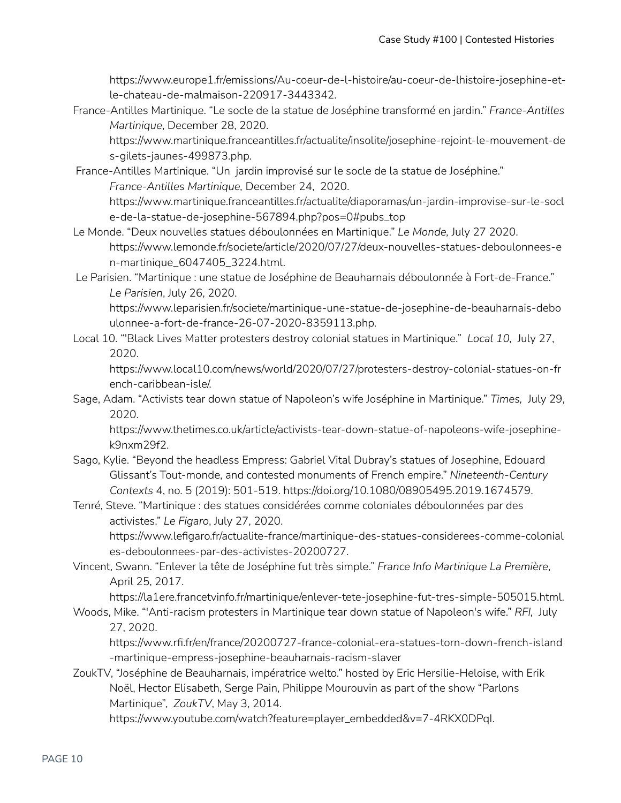https://www.europe1.fr/emissions/Au-coeur-de-l-histoire/au-coeur-de-lhistoire-josephine-etle-chateau-de-malmaison-220917-3443342.

France-Antilles Martinique. "Le socle de la statue de Joséphine transformé en jardin." *France-Antilles Martinique*, December 28, 2020.

https://www.martinique.franceantilles.fr/actualite/insolite/josephine-rejoint-le-mouvement-de s-gilets-jaunes-499873.php.

- France-Antilles Martinique. "Un jardin improvisé sur le socle de la statue de Joséphine." *France-Antilles Martinique,* December 24, 2020. https://www.martinique.franceantilles.fr/actualite/diaporamas/un-jardin-improvise-sur-le-socl e-de-la-statue-de-josephine-567894.php?pos=0#pubs\_top
- Le Monde. "Deux nouvelles statues déboulonnées en Martinique." *Le Monde,* July 27 2020. https://www.lemonde.fr/societe/article/2020/07/27/deux-nouvelles-statues-deboulonnees-e n-martinique\_6047405\_3224.html.
- Le Parisien. "Martinique : une statue de Joséphine de Beauharnais déboulonnée à Fort-de-France." *Le Parisien*, July 26, 2020.

https://www.leparisien.fr/societe/martinique-une-statue-de-josephine-de-beauharnais-debo ulonnee-a-fort-de-france-26-07-2020-8359113.php.

Local 10. "'Black Lives Matter protesters destroy colonial statues in Martinique." *Local 10,* July 27, 2020.

https://www.local10.com/news/world/2020/07/27/protesters-destroy-colonial-statues-on-fr ench-caribbean-isle/.

Sage, Adam. "Activists tear down statue of Napoleon's wife Joséphine in Martinique." *Times,* July 29, 2020.

https://www.thetimes.co.uk/article/activists-tear-down-statue-of-napoleons-wife-josephinek9nxm29f2.

- Sago, Kylie. "Beyond the headless Empress: Gabriel Vital Dubray's statues of Josephine, Edouard Glissant's Tout-monde, and contested monuments of French empire." *Nineteenth-Century Contexts* 4, no. 5 (2019): 501-519. https://doi.org/10.1080/08905495.2019.1674579.
- Tenré, Steve. "Martinique : des statues considérées comme coloniales déboulonnées par des activistes." *Le Figaro*, July 27, 2020.

https://www.lefigaro.fr/actualite-france/martinique-des-statues-considerees-comme-colonial es-deboulonnees-par-des-activistes-20200727.

Vincent, Swann. "Enlever la tête de Joséphine fut très simple." *France Info Martinique La Première*, April 25, 2017.

https://la1ere.francetvinfo.fr/martinique/enlever-tete-josephine-fut-tres-simple-505015.html.

Woods, Mike. "'Anti-racism protesters in Martinique tear down statue of Napoleon's wife." *RFI,* July 27, 2020.

https://www.rfi.fr/en/france/20200727-france-colonial-era-statues-torn-down-french-island -martinique-empress-josephine-beauharnais-racism-slaver

ZoukTV, "Joséphine de Beauharnais, impératrice welto." hosted by Eric Hersilie-Heloise, with Erik Noël, Hector Elisabeth, Serge Pain, Philippe Mourouvin as part of the show "Parlons Martinique", *ZoukTV*, May 3, 2014.

https://www.youtube.com/watch?feature=player\_embedded&v=7-4RKX0DPqI.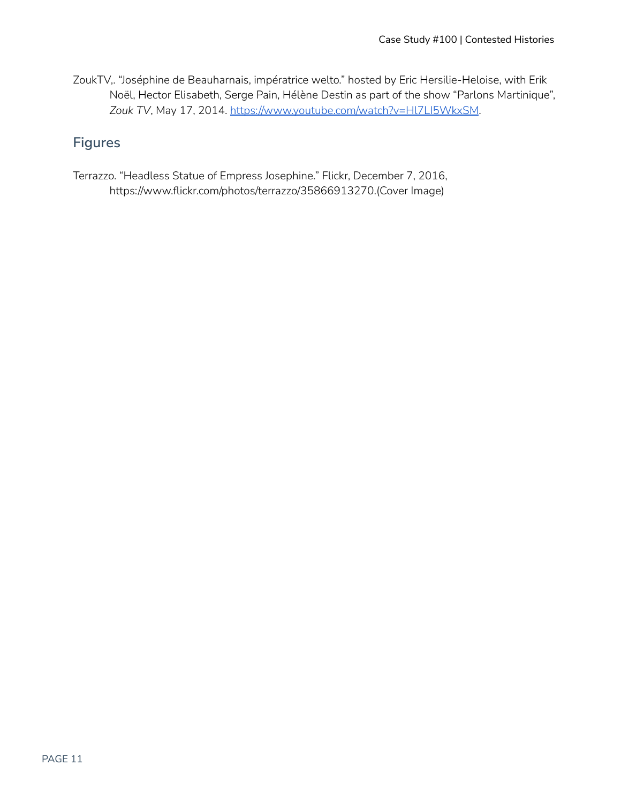ZoukTV,. "Joséphine de Beauharnais, impératrice welto." hosted by Eric Hersilie-Heloise, with Erik Noël, Hector Elisabeth, Serge Pain, Hélène Destin as part of the show "Parlons Martinique", *Zouk TV*, May 17, 2014. <https://www.youtube.com/watch?v=Hl7LI5WkxSM>.

### **Figures**

Terrazzo. "Headless Statue of Empress Josephine." Flickr, December 7, 2016, https://www.flickr.com/photos/terrazzo/35866913270.(Cover Image)